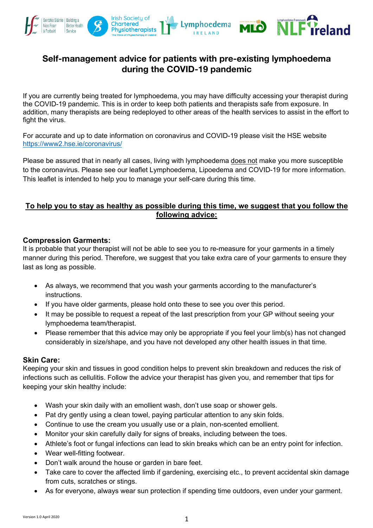

# **Self-management advice for patients with pre-existing lymphoedema during the COVID-19 pandemic**

If you are currently being treated for lymphoedema, you may have difficulty accessing your therapist during the COVID-19 pandemic. This is in order to keep both patients and therapists safe from exposure. In addition, many therapists are being redeployed to other areas of the health services to assist in the effort to fight the virus.

For accurate and up to date information on coronavirus and COVID-19 please visit the HSE website https://www2.hse.ie/coronavirus/

Please be assured that in nearly all cases, living with lymphoedema does not make you more susceptible to the coronavirus. Please see our leaflet Lymphoedema, Lipoedema and COVID-19 for more information. This leaflet is intended to help you to manage your self-care during this time.

## **To help you to stay as healthy as possible during this time, we suggest that you follow the following advice:**

### **Compression Garments:**

It is probable that your therapist will not be able to see you to re-measure for your garments in a timely manner during this period. Therefore, we suggest that you take extra care of your garments to ensure they last as long as possible.

- As always, we recommend that you wash your garments according to the manufacturer's instructions.
- If you have older garments, please hold onto these to see you over this period.
- It may be possible to request a repeat of the last prescription from your GP without seeing your lymphoedema team/therapist.
- Please remember that this advice may only be appropriate if you feel your limb(s) has not changed considerably in size/shape, and you have not developed any other health issues in that time.

#### **Skin Care:**

Keeping your skin and tissues in good condition helps to prevent skin breakdown and reduces the risk of infections such as cellulitis. Follow the advice your therapist has given you, and remember that tips for keeping your skin healthy include:

- Wash your skin daily with an emollient wash, don't use soap or shower gels.
- Pat dry gently using a clean towel, paying particular attention to any skin folds.
- Continue to use the cream you usually use or a plain, non-scented emollient.
- Monitor your skin carefully daily for signs of breaks, including between the toes.
- Athlete's foot or fungal infections can lead to skin breaks which can be an entry point for infection.
- Wear well-fitting footwear.
- Don't walk around the house or garden in bare feet.
- Take care to cover the affected limb if gardening, exercising etc., to prevent accidental skin damage from cuts, scratches or stings.
- As for everyone, always wear sun protection if spending time outdoors, even under your garment.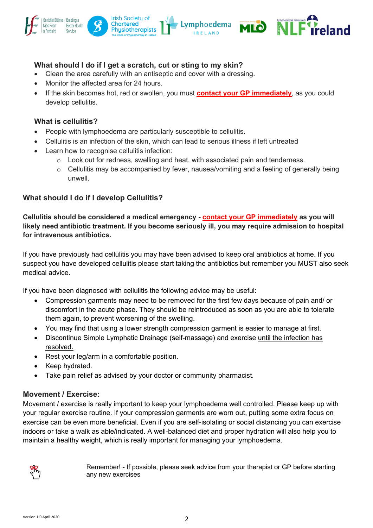

## **What should I do if I get a scratch, cut or sting to my skin?**

- Clean the area carefully with an antiseptic and cover with a dressing.
- Monitor the affected area for 24 hours.
- If the skin becomes hot, red or swollen, you must **contact your GP immediately**, as you could develop cellulitis.

### **What is cellulitis?**

- People with lymphoedema are particularly susceptible to cellulitis.
- Cellulitis is an infection of the skin, which can lead to serious illness if left untreated
- Learn how to recognise cellulitis infection:
	- $\circ$  Look out for redness, swelling and heat, with associated pain and tenderness.
	- $\circ$  Cellulitis may be accompanied by fever, nausea/vomiting and a feeling of generally being unwell.

# **What should I do if I develop Cellulitis?**

**Cellulitis should be considered a medical emergency - contact your GP immediately as you will likely need antibiotic treatment. If you become seriously ill, you may require admission to hospital for intravenous antibiotics.**

If you have previously had cellulitis you may have been advised to keep oral antibiotics at home. If you suspect you have developed cellulitis please start taking the antibiotics but remember you MUST also seek medical advice.

If you have been diagnosed with cellulitis the following advice may be useful:

- Compression garments may need to be removed for the first few days because of pain and/ or discomfort in the acute phase. They should be reintroduced as soon as you are able to tolerate them again, to prevent worsening of the swelling.
- You may find that using a lower strength compression garment is easier to manage at first.
- Discontinue Simple Lymphatic Drainage (self-massage) and exercise until the infection has resolved.
- Rest your leg/arm in a comfortable position.
- Keep hydrated.
- Take pain relief as advised by your doctor or community pharmacist.

#### **Movement / Exercise:**

Movement / exercise is really important to keep your lymphoedema well controlled. Please keep up with your regular exercise routine. If your compression garments are worn out, putting some extra focus on exercise can be even more beneficial. Even if you are self-isolating or social distancing you can exercise indoors or take a walk as able/indicated. A well-balanced diet and proper hydration will also help you to maintain a healthy weight, which is really important for managing your lymphoedema.



Remember! - If possible, please seek advice from your therapist or GP before starting any new exercises